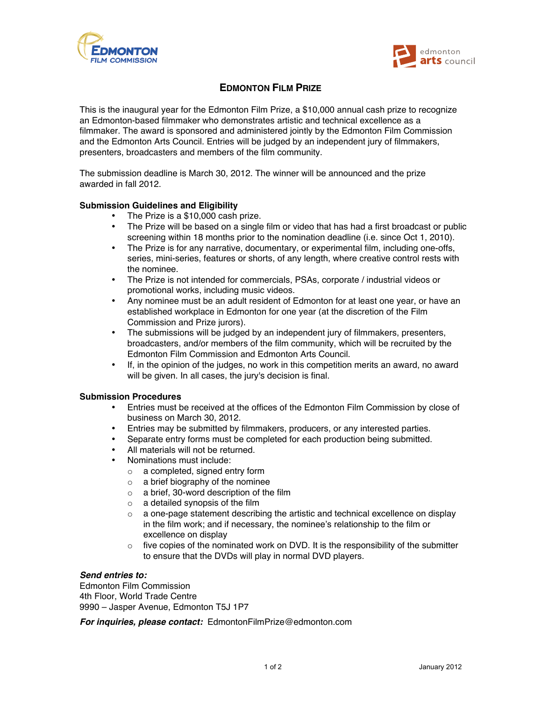



## **EDMONTON FILM PRIZE**

This is the inaugural year for the Edmonton Film Prize, a \$10,000 annual cash prize to recognize an Edmonton-based filmmaker who demonstrates artistic and technical excellence as a filmmaker. The award is sponsored and administered jointly by the Edmonton Film Commission and the Edmonton Arts Council. Entries will be judged by an independent jury of filmmakers, presenters, broadcasters and members of the film community.

The submission deadline is March 30, 2012. The winner will be announced and the prize awarded in fall 2012.

### **Submission Guidelines and Eligibility**

- The Prize is a \$10,000 cash prize.
- The Prize will be based on a single film or video that has had a first broadcast or public screening within 18 months prior to the nomination deadline (i.e. since Oct 1, 2010).
- The Prize is for any narrative, documentary, or experimental film, including one-offs, series, mini-series, features or shorts, of any length, where creative control rests with the nominee.
- The Prize is not intended for commercials, PSAs, corporate / industrial videos or promotional works, including music videos.
- Any nominee must be an adult resident of Edmonton for at least one year, or have an established workplace in Edmonton for one year (at the discretion of the Film Commission and Prize jurors).
- The submissions will be judged by an independent jury of filmmakers, presenters, broadcasters, and/or members of the film community, which will be recruited by the Edmonton Film Commission and Edmonton Arts Council.
- If, in the opinion of the judges, no work in this competition merits an award, no award will be given. In all cases, the jury's decision is final.

#### **Submission Procedures**

- Entries must be received at the offices of the Edmonton Film Commission by close of business on March 30, 2012.
- Entries may be submitted by filmmakers, producers, or any interested parties.
- Separate entry forms must be completed for each production being submitted.
- All materials will not be returned.
- Nominations must include:
	- o a completed, signed entry form
	- $\circ$  a brief biography of the nominee
	- o a brief, 30-word description of the film
	- $\circ$  a detailed synopsis of the film
	- $\circ$  a one-page statement describing the artistic and technical excellence on display in the film work; and if necessary, the nominee's relationship to the film or excellence on display
	- $\circ$  five copies of the nominated work on DVD. It is the responsibility of the submitter to ensure that the DVDs will play in normal DVD players.

#### *Send entries to:*

Edmonton Film Commission 4th Floor, World Trade Centre 9990 – Jasper Avenue, Edmonton T5J 1P7

*For inquiries, please contact:* EdmontonFilmPrize@edmonton.com